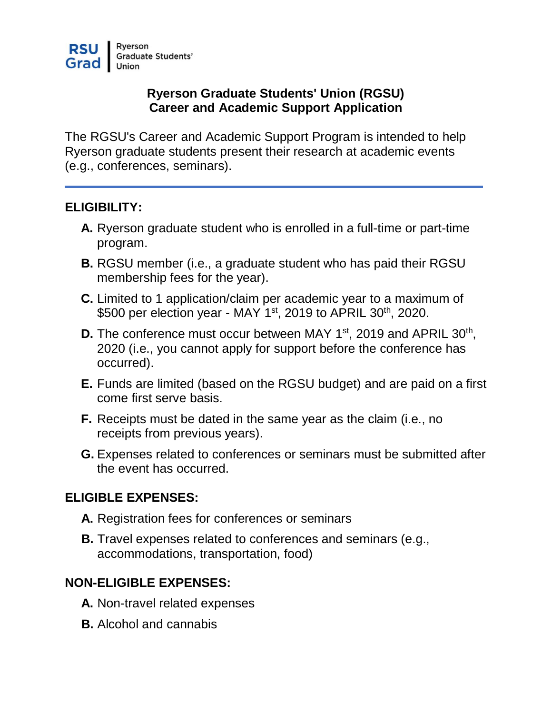#### **Ryerson Graduate Students' Union (RGSU) Career and Academic Support Application**

The RGSU's Career and Academic Support Program is intended to help Ryerson graduate students present their research at academic events (e.g., conferences, seminars).

#### **ELIGIBILITY:**

- **A.** Ryerson graduate student who is enrolled in a full-time or part-time program.
- **B.** RGSU member (i.e., a graduate student who has paid their RGSU membership fees for the year).
- **C.** Limited to 1 application/claim per academic year to a maximum of \$500 per election year - MAY 1<sup>st</sup>, 2019 to APRIL 30<sup>th</sup>, 2020.
- **D.** The conference must occur between MAY 1<sup>st</sup>, 2019 and APRIL 30<sup>th</sup>, 2020 (i.e., you cannot apply for support before the conference has occurred).
- **E.** Funds are limited (based on the RGSU budget) and are paid on a first come first serve basis.
- **F.** Receipts must be dated in the same year as the claim (i.e., no receipts from previous years).
- **G.** Expenses related to conferences or seminars must be submitted after the event has occurred.

# **ELIGIBLE EXPENSES:**

- **A.** Registration fees for conferences or seminars
- **B.** Travel expenses related to conferences and seminars (e.g., accommodations, transportation, food)

# **NON-ELIGIBLE EXPENSES:**

- **A.** Non-travel related expenses
- **B.** Alcohol and cannabis